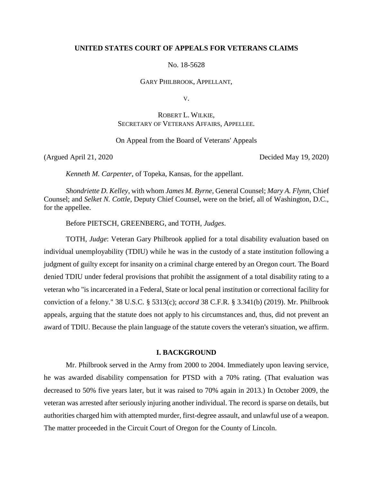#### **UNITED STATES COURT OF APPEALS FOR VETERANS CLAIMS**

No. 18-5628

GARY PHILBROOK, APPELLANT,

V.

# ROBERT L. WILKIE, SECRETARY OF VETERANS AFFAIRS, APPELLEE.

On Appeal from the Board of Veterans' Appeals

(Argued April 21, 2020 Decided May 19, 2020)

*Kenneth M. Carpenter*, of Topeka, Kansas, for the appellant.

*Shondriette D. Kelley*, with whom *James M. Byrne*, General Counsel; *Mary A. Flynn*, Chief Counsel; and *Selket N. Cottle*, Deputy Chief Counsel, were on the brief, all of Washington, D.C., for the appellee.

Before PIETSCH, GREENBERG, and TOTH, *Judges*.

TOTH, *Judge*: Veteran Gary Philbrook applied for a total disability evaluation based on individual unemployability (TDIU) while he was in the custody of a state institution following a judgment of guilty except for insanity on a criminal charge entered by an Oregon court. The Board denied TDIU under federal provisions that prohibit the assignment of a total disability rating to a veteran who "is incarcerated in a Federal, State or local penal institution or correctional facility for conviction of a felony." 38 U.S.C. § 5313(c); *accord* 38 C.F.R. § 3.341(b) (2019). Mr. Philbrook appeals, arguing that the statute does not apply to his circumstances and, thus, did not prevent an award of TDIU. Because the plain language of the statute covers the veteran's situation, we affirm.

## **I. BACKGROUND**

Mr. Philbrook served in the Army from 2000 to 2004. Immediately upon leaving service, he was awarded disability compensation for PTSD with a 70% rating. (That evaluation was decreased to 50% five years later, but it was raised to 70% again in 2013.) In October 2009, the veteran was arrested after seriously injuring another individual. The record is sparse on details, but authorities charged him with attempted murder, first-degree assault, and unlawful use of a weapon. The matter proceeded in the Circuit Court of Oregon for the County of Lincoln.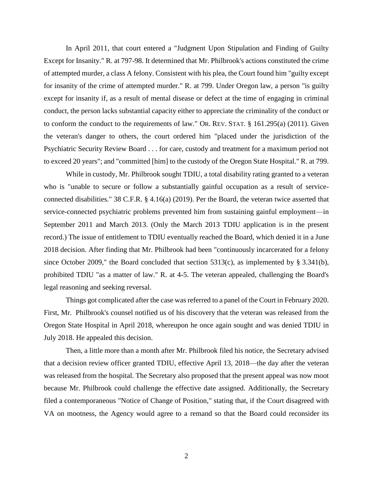In April 2011, that court entered a "Judgment Upon Stipulation and Finding of Guilty Except for Insanity." R. at 797-98. It determined that Mr. Philbrook's actions constituted the crime of attempted murder, a class A felony. Consistent with his plea, the Court found him "guilty except for insanity of the crime of attempted murder." R. at 799. Under Oregon law, a person "is guilty except for insanity if, as a result of mental disease or defect at the time of engaging in criminal conduct, the person lacks substantial capacity either to appreciate the criminality of the conduct or to conform the conduct to the requirements of law." OR. REV. STAT. § 161.295(a) (2011). Given the veteran's danger to others, the court ordered him "placed under the jurisdiction of the Psychiatric Security Review Board . . . for care, custody and treatment for a maximum period not to exceed 20 years"; and "committed [him] to the custody of the Oregon State Hospital." R. at 799.

While in custody, Mr. Philbrook sought TDIU, a total disability rating granted to a veteran who is "unable to secure or follow a substantially gainful occupation as a result of serviceconnected disabilities." 38 C.F.R. § 4.16(a) (2019). Per the Board, the veteran twice asserted that service-connected psychiatric problems prevented him from sustaining gainful employment—in September 2011 and March 2013. (Only the March 2013 TDIU application is in the present record.) The issue of entitlement to TDIU eventually reached the Board, which denied it in a June 2018 decision. After finding that Mr. Philbrook had been "continuously incarcerated for a felony since October 2009," the Board concluded that section 5313(c), as implemented by § 3.341(b), prohibited TDIU "as a matter of law." R. at 4-5. The veteran appealed, challenging the Board's legal reasoning and seeking reversal.

Things got complicated after the case was referred to a panel of the Court in February 2020. First, Mr. Philbrook's counsel notified us of his discovery that the veteran was released from the Oregon State Hospital in April 2018, whereupon he once again sought and was denied TDIU in July 2018. He appealed this decision.

Then, a little more than a month after Mr. Philbrook filed his notice, the Secretary advised that a decision review officer granted TDIU, effective April 13, 2018—the day after the veteran was released from the hospital. The Secretary also proposed that the present appeal was now moot because Mr. Philbrook could challenge the effective date assigned. Additionally, the Secretary filed a contemporaneous "Notice of Change of Position," stating that, if the Court disagreed with VA on mootness, the Agency would agree to a remand so that the Board could reconsider its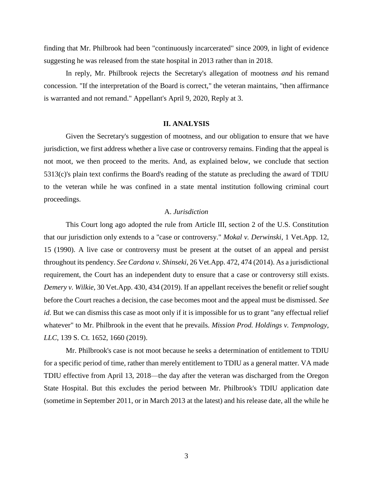finding that Mr. Philbrook had been "continuously incarcerated" since 2009, in light of evidence suggesting he was released from the state hospital in 2013 rather than in 2018.

In reply, Mr. Philbrook rejects the Secretary's allegation of mootness *and* his remand concession. "If the interpretation of the Board is correct," the veteran maintains, "then affirmance is warranted and not remand." Appellant's April 9, 2020, Reply at 3.

#### **II. ANALYSIS**

Given the Secretary's suggestion of mootness, and our obligation to ensure that we have jurisdiction, we first address whether a live case or controversy remains. Finding that the appeal is not moot, we then proceed to the merits. And, as explained below, we conclude that section 5313(c)'s plain text confirms the Board's reading of the statute as precluding the award of TDIU to the veteran while he was confined in a state mental institution following criminal court proceedings.

### A. *Jurisdiction*

This Court long ago adopted the rule from Article III, section 2 of the U.S. Constitution that our jurisdiction only extends to a "case or controversy." *Mokal v. Derwinski*, 1 Vet.App. 12, 15 (1990). A live case or controversy must be present at the outset of an appeal and persist throughout its pendency. *See Cardona v. Shinseki*, 26 Vet.App. 472, 474 (2014). As a jurisdictional requirement, the Court has an independent duty to ensure that a case or controversy still exists. *Demery v. Wilkie*, 30 Vet.App. 430, 434 (2019). If an appellant receives the benefit or relief sought before the Court reaches a decision, the case becomes moot and the appeal must be dismissed. *See id.* But we can dismiss this case as moot only if it is impossible for us to grant "any effectual relief" whatever" to Mr. Philbrook in the event that he prevails. *Mission Prod. Holdings v. Tempnology, LLC*, 139 S. Ct. 1652, 1660 (2019).

Mr. Philbrook's case is not moot because he seeks a determination of entitlement to TDIU for a specific period of time, rather than merely entitlement to TDIU as a general matter. VA made TDIU effective from April 13, 2018—the day after the veteran was discharged from the Oregon State Hospital. But this excludes the period between Mr. Philbrook's TDIU application date (sometime in September 2011, or in March 2013 at the latest) and his release date, all the while he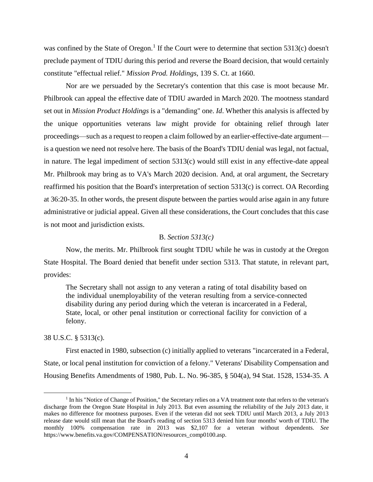was confined by the State of Oregon.<sup>1</sup> If the Court were to determine that section 5313(c) doesn't preclude payment of TDIU during this period and reverse the Board decision, that would certainly constitute "effectual relief." *Mission Prod. Holdings*, 139 S. Ct. at 1660.

Nor are we persuaded by the Secretary's contention that this case is moot because Mr. Philbrook can appeal the effective date of TDIU awarded in March 2020. The mootness standard set out in *Mission Product Holdings* is a "demanding" one. *Id*. Whether this analysis is affected by the unique opportunities veterans law might provide for obtaining relief through later proceedings—such as a request to reopen a claim followed by an earlier-effective-date argument is a question we need not resolve here. The basis of the Board's TDIU denial was legal, not factual, in nature. The legal impediment of section 5313(c) would still exist in any effective-date appeal Mr. Philbrook may bring as to VA's March 2020 decision. And, at oral argument, the Secretary reaffirmed his position that the Board's interpretation of section 5313(c) is correct. OA Recording at 36:20-35. In other words, the present dispute between the parties would arise again in any future administrative or judicial appeal. Given all these considerations, the Court concludes that this case is not moot and jurisdiction exists.

### B. *Section 5313(c)*

Now, the merits. Mr. Philbrook first sought TDIU while he was in custody at the Oregon State Hospital. The Board denied that benefit under section 5313. That statute, in relevant part, provides:

The Secretary shall not assign to any veteran a rating of total disability based on the individual unemployability of the veteran resulting from a service-connected disability during any period during which the veteran is incarcerated in a Federal, State, local, or other penal institution or correctional facility for conviction of a felony.

### 38 U.S.C. § 5313(c).

l

First enacted in 1980, subsection (c) initially applied to veterans "incarcerated in a Federal, State, or local penal institution for conviction of a felony." Veterans' Disability Compensation and Housing Benefits Amendments of 1980, Pub. L. No. 96-385, § 504(a), 94 Stat. 1528, 1534-35. A

<sup>&</sup>lt;sup>1</sup> In his "Notice of Change of Position," the Secretary relies on a VA treatment note that refers to the veteran's discharge from the Oregon State Hospital in July 2013. But even assuming the reliability of the July 2013 date, it makes no difference for mootness purposes. Even if the veteran did not seek TDIU until March 2013, a July 2013 release date would still mean that the Board's reading of section 5313 denied him four months' worth of TDIU. The monthly 100% compensation rate in 2013 was \$2,107 for a veteran without dependents. *See* https://www.benefits.va.gov/COMPENSATION/resources\_comp0100.asp.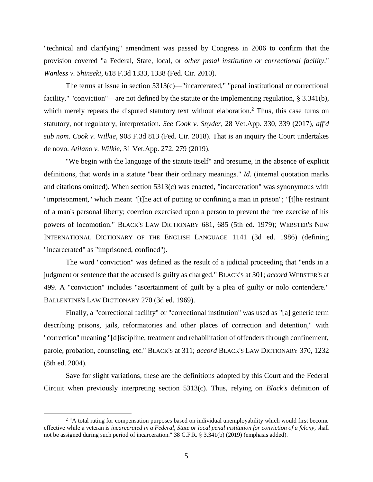"technical and clarifying" amendment was passed by Congress in 2006 to confirm that the provision covered "a Federal, State, local, or *other penal institution or correctional facility*." *Wanless v. Shinseki*, 618 F.3d 1333, 1338 (Fed. Cir. 2010).

The terms at issue in section  $5313(c)$ —"incarcerated," "penal institutional or correctional facility," "conviction"—are not defined by the statute or the implementing regulation, § 3.341(b), which merely repeats the disputed statutory text without elaboration.<sup>2</sup> Thus, this case turns on statutory, not regulatory, interpretation. *See Cook v. Snyder*, 28 Vet.App. 330, 339 (2017), *aff'd sub nom. Cook v. Wilkie*, 908 F.3d 813 (Fed. Cir. 2018). That is an inquiry the Court undertakes de novo. *Atilano v. Wilkie*, 31 Vet.App. 272, 279 (2019).

"We begin with the language of the statute itself" and presume, in the absence of explicit definitions, that words in a statute "bear their ordinary meanings." *Id*. (internal quotation marks and citations omitted). When section 5313(c) was enacted, "incarceration" was synonymous with "imprisonment," which meant "[t]he act of putting or confining a man in prison"; "[t]he restraint of a man's personal liberty; coercion exercised upon a person to prevent the free exercise of his powers of locomotion." BLACK'S LAW DICTIONARY 681, 685 (5th ed. 1979); WEBSTER'S NEW INTERNATIONAL DICTIONARY OF THE ENGLISH LANGUAGE 1141 (3d ed. 1986) (defining "incarcerated" as "imprisoned, confined").

The word "conviction" was defined as the result of a judicial proceeding that "ends in a judgment or sentence that the accused is guilty as charged." BLACK'S at 301; *accord* WEBSTER'S at 499. A "conviction" includes "ascertainment of guilt by a plea of guilty or nolo contendere." BALLENTINE'S LAW DICTIONARY 270 (3d ed. 1969).

Finally, a "correctional facility" or "correctional institution" was used as "[a] generic term describing prisons, jails, reformatories and other places of correction and detention," with "correction" meaning "[d]iscipline, treatment and rehabilitation of offenders through confinement, parole, probation, counseling, etc." BLACK'S at 311; *accord* BLACK'S LAW DICTIONARY 370, 1232 (8th ed. 2004).

Save for slight variations, these are the definitions adopted by this Court and the Federal Circuit when previously interpreting section 5313(c). Thus, relying on *Black's* definition of

 $\overline{\phantom{a}}$ 

<sup>&</sup>lt;sup>2</sup> "A total rating for compensation purposes based on individual unemployability which would first become effective while a veteran is *incarcerated in a Federal, State or local penal institution for conviction of a felony*, shall not be assigned during such period of incarceration." 38 C.F.R. § 3.341(b) (2019) (emphasis added).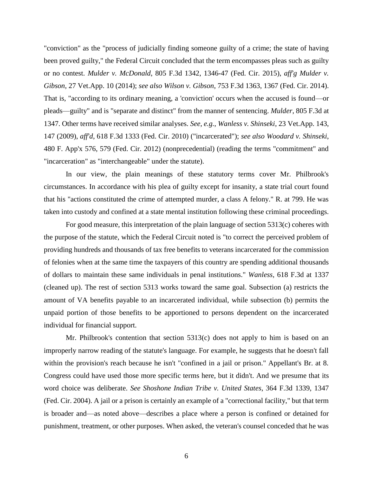"conviction" as the "process of judicially finding someone guilty of a crime; the state of having been proved guilty," the Federal Circuit concluded that the term encompasses pleas such as guilty or no contest. *Mulder v. McDonald*, 805 F.3d 1342, 1346-47 (Fed. Cir. 2015), *aff'g Mulder v. Gibson*, 27 Vet.App. 10 (2014); *see also Wilson v. Gibson*, 753 F.3d 1363, 1367 (Fed. Cir. 2014). That is, "according to its ordinary meaning, a 'conviction' occurs when the accused is found—or pleads—guilty" and is "separate and distinct" from the manner of sentencing. *Mulder*, 805 F.3d at 1347. Other terms have received similar analyses. *See, e.g.*, *Wanless v. Shinseki*, 23 Vet.App. 143, 147 (2009), *aff'd*, 618 F.3d 1333 (Fed. Cir. 2010) ("incarcerated"); *see also Woodard v. Shinseki*, 480 F. App'x 576, 579 (Fed. Cir. 2012) (nonprecedential) (reading the terms "commitment" and "incarceration" as "interchangeable" under the statute).

In our view, the plain meanings of these statutory terms cover Mr. Philbrook's circumstances. In accordance with his plea of guilty except for insanity, a state trial court found that his "actions constituted the crime of attempted murder, a class A felony." R. at 799. He was taken into custody and confined at a state mental institution following these criminal proceedings.

For good measure, this interpretation of the plain language of section 5313(c) coheres with the purpose of the statute, which the Federal Circuit noted is "to correct the perceived problem of providing hundreds and thousands of tax free benefits to veterans incarcerated for the commission of felonies when at the same time the taxpayers of this country are spending additional thousands of dollars to maintain these same individuals in penal institutions." *Wanless,* 618 F.3d at 1337 (cleaned up). The rest of section 5313 works toward the same goal. Subsection (a) restricts the amount of VA benefits payable to an incarcerated individual, while subsection (b) permits the unpaid portion of those benefits to be apportioned to persons dependent on the incarcerated individual for financial support.

Mr. Philbrook's contention that section 5313(c) does not apply to him is based on an improperly narrow reading of the statute's language. For example, he suggests that he doesn't fall within the provision's reach because he isn't "confined in a jail or prison." Appellant's Br. at 8. Congress could have used those more specific terms here, but it didn't. And we presume that its word choice was deliberate. *See Shoshone Indian Tribe v. United States*, 364 F.3d 1339, 1347 (Fed. Cir. 2004). A jail or a prison is certainly an example of a "correctional facility," but that term is broader and—as noted above—describes a place where a person is confined or detained for punishment, treatment, or other purposes. When asked, the veteran's counsel conceded that he was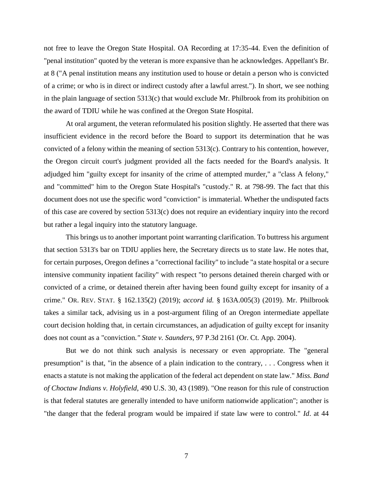not free to leave the Oregon State Hospital. OA Recording at 17:35-44. Even the definition of "penal institution" quoted by the veteran is more expansive than he acknowledges. Appellant's Br. at 8 ("A penal institution means any institution used to house or detain a person who is convicted of a crime; or who is in direct or indirect custody after a lawful arrest."). In short, we see nothing in the plain language of section 5313(c) that would exclude Mr. Philbrook from its prohibition on the award of TDIU while he was confined at the Oregon State Hospital.

At oral argument, the veteran reformulated his position slightly. He asserted that there was insufficient evidence in the record before the Board to support its determination that he was convicted of a felony within the meaning of section 5313(c). Contrary to his contention, however, the Oregon circuit court's judgment provided all the facts needed for the Board's analysis. It adjudged him "guilty except for insanity of the crime of attempted murder," a "class A felony," and "committed" him to the Oregon State Hospital's "custody." R. at 798-99. The fact that this document does not use the specific word "conviction" is immaterial. Whether the undisputed facts of this case are covered by section 5313(c) does not require an evidentiary inquiry into the record but rather a legal inquiry into the statutory language.

This brings us to another important point warranting clarification. To buttress his argument that section 5313's bar on TDIU applies here, the Secretary directs us to state law. He notes that, for certain purposes, Oregon defines a "correctional facility" to include "a state hospital or a secure intensive community inpatient facility" with respect "to persons detained therein charged with or convicted of a crime, or detained therein after having been found guilty except for insanity of a crime." OR. REV. STAT. § 162.135(2) (2019); *accord id.* § 163A.005(3) (2019). Mr. Philbrook takes a similar tack, advising us in a post-argument filing of an Oregon intermediate appellate court decision holding that, in certain circumstances, an adjudication of guilty except for insanity does not count as a "conviction*." State v. Saunders*, 97 P.3d 2161 (Or. Ct. App. 2004).

But we do not think such analysis is necessary or even appropriate. The "general presumption" is that, "in the absence of a plain indication to the contrary, . . . Congress when it enacts a statute is not making the application of the federal act dependent on state law." *Miss. Band of Choctaw Indians v. Holyfield*, 490 U.S. 30, 43 (1989). "One reason for this rule of construction is that federal statutes are generally intended to have uniform nationwide application"; another is "the danger that the federal program would be impaired if state law were to control." *Id*. at 44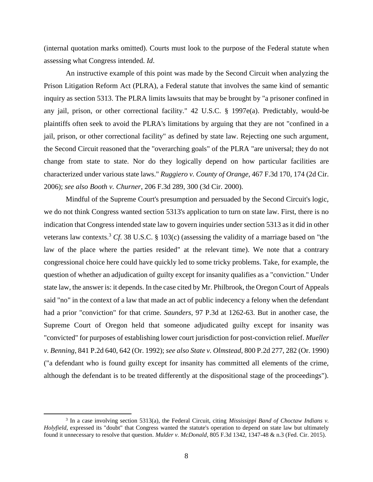(internal quotation marks omitted). Courts must look to the purpose of the Federal statute when assessing what Congress intended. *Id*.

An instructive example of this point was made by the Second Circuit when analyzing the Prison Litigation Reform Act (PLRA), a Federal statute that involves the same kind of semantic inquiry as section 5313. The PLRA limits lawsuits that may be brought by "a prisoner confined in any jail, prison, or other correctional facility." 42 U.S.C. § 1997e(a). Predictably, would-be plaintiffs often seek to avoid the PLRA's limitations by arguing that they are not "confined in a jail, prison, or other correctional facility" as defined by state law. Rejecting one such argument, the Second Circuit reasoned that the "overarching goals" of the PLRA "are universal; they do not change from state to state. Nor do they logically depend on how particular facilities are characterized under various state laws." *Ruggiero v. County of Orange*, 467 F.3d 170, 174 (2d Cir. 2006); *see also Booth v. Churner*, 206 F.3d 289, 300 (3d Cir. 2000).

Mindful of the Supreme Court's presumption and persuaded by the Second Circuit's logic, we do not think Congress wanted section 5313's application to turn on state law. First, there is no indication that Congress intended state law to govern inquiries under section 5313 as it did in other veterans law contexts.<sup>3</sup> *Cf*. 38 U.S.C. § 103(c) (assessing the validity of a marriage based on "the law of the place where the parties resided" at the relevant time). We note that a contrary congressional choice here could have quickly led to some tricky problems. Take, for example, the question of whether an adjudication of guilty except for insanity qualifies as a "conviction." Under state law, the answer is: it depends. In the case cited by Mr. Philbrook, the Oregon Court of Appeals said "no" in the context of a law that made an act of public indecency a felony when the defendant had a prior "conviction" for that crime. *Saunders*, 97 P.3d at 1262-63. But in another case, the Supreme Court of Oregon held that someone adjudicated guilty except for insanity was "convicted" for purposes of establishing lower court jurisdiction for post-conviction relief. *Mueller v. Benning*, 841 P.2d 640, 642 (Or. 1992); *see also State v. Olmstead*, 800 P.2d 277, 282 (Or. 1990) ("a defendant who is found guilty except for insanity has committed all elements of the crime, although the defendant is to be treated differently at the dispositional stage of the proceedings").

 $\overline{\phantom{a}}$ 

<sup>3</sup> In a case involving section 5313(a), the Federal Circuit, citing *Mississippi Band of Choctaw Indians v. Holyfield*, expressed its "doubt" that Congress wanted the statute's operation to depend on state law but ultimately found it unnecessary to resolve that question. *Mulder v. McDonald*, 805 F.3d 1342, 1347-48 & n.3 (Fed. Cir. 2015).